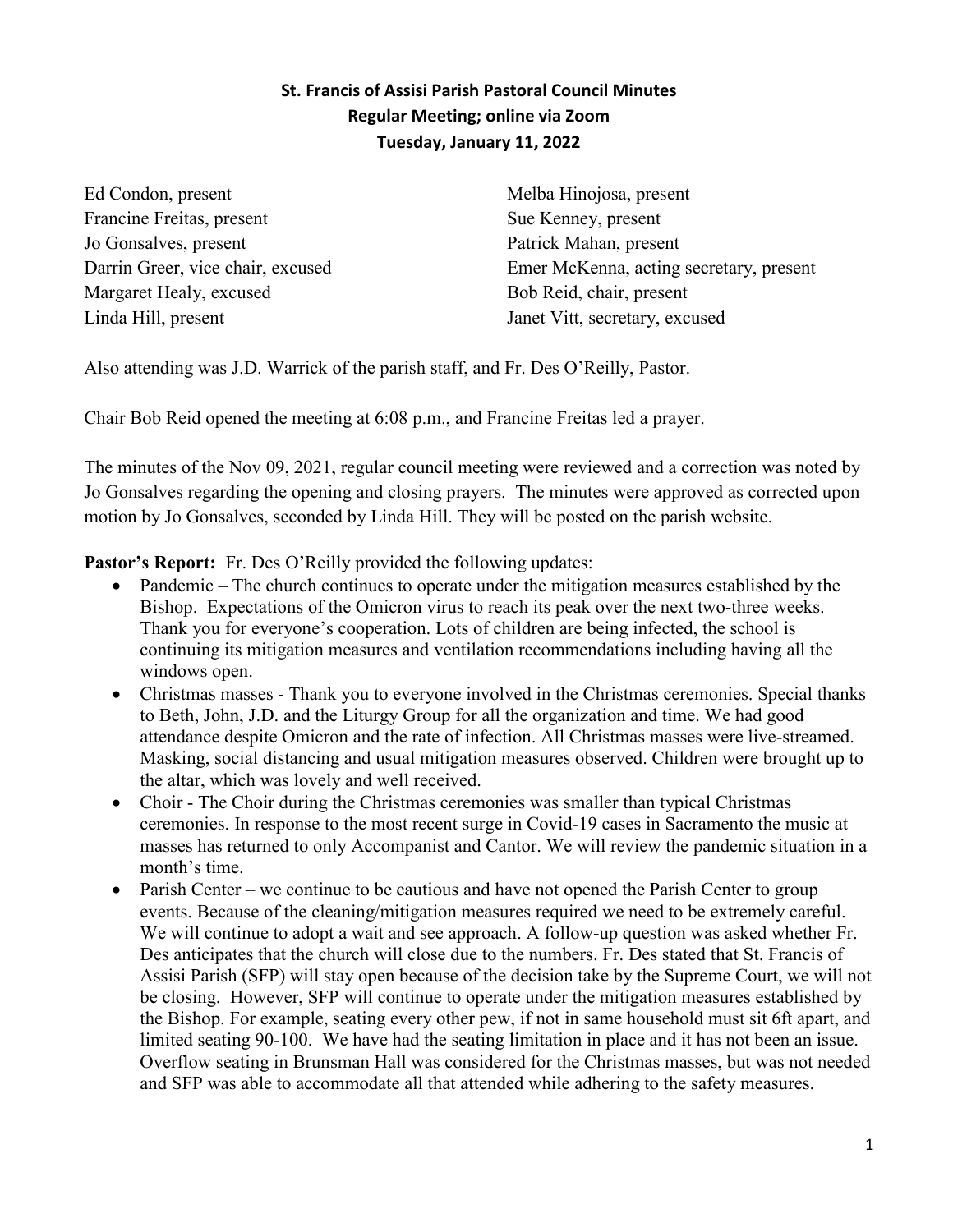## **St. Francis of Assisi Parish Pastoral Council Minutes Regular Meeting; online via Zoom Tuesday, January 11, 2022**

Ed Condon, present Francine Freitas, present Jo Gonsalves, present Darrin Greer, vice chair, excused Margaret Healy, excused Linda Hill, present

Melba Hinojosa, present Sue Kenney, present Patrick Mahan, present Emer McKenna, acting secretary, present Bob Reid, chair, present Janet Vitt, secretary, excused

Also attending was J.D. Warrick of the parish staff, and Fr. Des O'Reilly, Pastor.

Chair Bob Reid opened the meeting at 6:08 p.m., and Francine Freitas led a prayer.

The minutes of the Nov 09, 2021, regular council meeting were reviewed and a correction was noted by Jo Gonsalves regarding the opening and closing prayers. The minutes were approved as corrected upon motion by Jo Gonsalves, seconded by Linda Hill. They will be posted on the parish website.

Pastor's Report: Fr. Des O'Reilly provided the following updates:

- Pandemic The church continues to operate under the mitigation measures established by the Bishop. Expectations of the Omicron virus to reach its peak over the next two-three weeks. Thank you for everyone's cooperation. Lots of children are being infected, the school is continuing its mitigation measures and ventilation recommendations including having all the windows open.
- Christmas masses Thank you to everyone involved in the Christmas ceremonies. Special thanks to Beth, John, J.D. and the Liturgy Group for all the organization and time. We had good attendance despite Omicron and the rate of infection. All Christmas masses were live-streamed. Masking, social distancing and usual mitigation measures observed. Children were brought up to the altar, which was lovely and well received.
- Choir The Choir during the Christmas ceremonies was smaller than typical Christmas ceremonies. In response to the most recent surge in Covid-19 cases in Sacramento the music at masses has returned to only Accompanist and Cantor. We will review the pandemic situation in a month's time.
- Parish Center we continue to be cautious and have not opened the Parish Center to group events. Because of the cleaning/mitigation measures required we need to be extremely careful. We will continue to adopt a wait and see approach. A follow-up question was asked whether Fr. Des anticipates that the church will close due to the numbers. Fr. Des stated that St. Francis of Assisi Parish (SFP) will stay open because of the decision take by the Supreme Court, we will not be closing. However, SFP will continue to operate under the mitigation measures established by the Bishop. For example, seating every other pew, if not in same household must sit 6ft apart, and limited seating 90-100. We have had the seating limitation in place and it has not been an issue. Overflow seating in Brunsman Hall was considered for the Christmas masses, but was not needed and SFP was able to accommodate all that attended while adhering to the safety measures.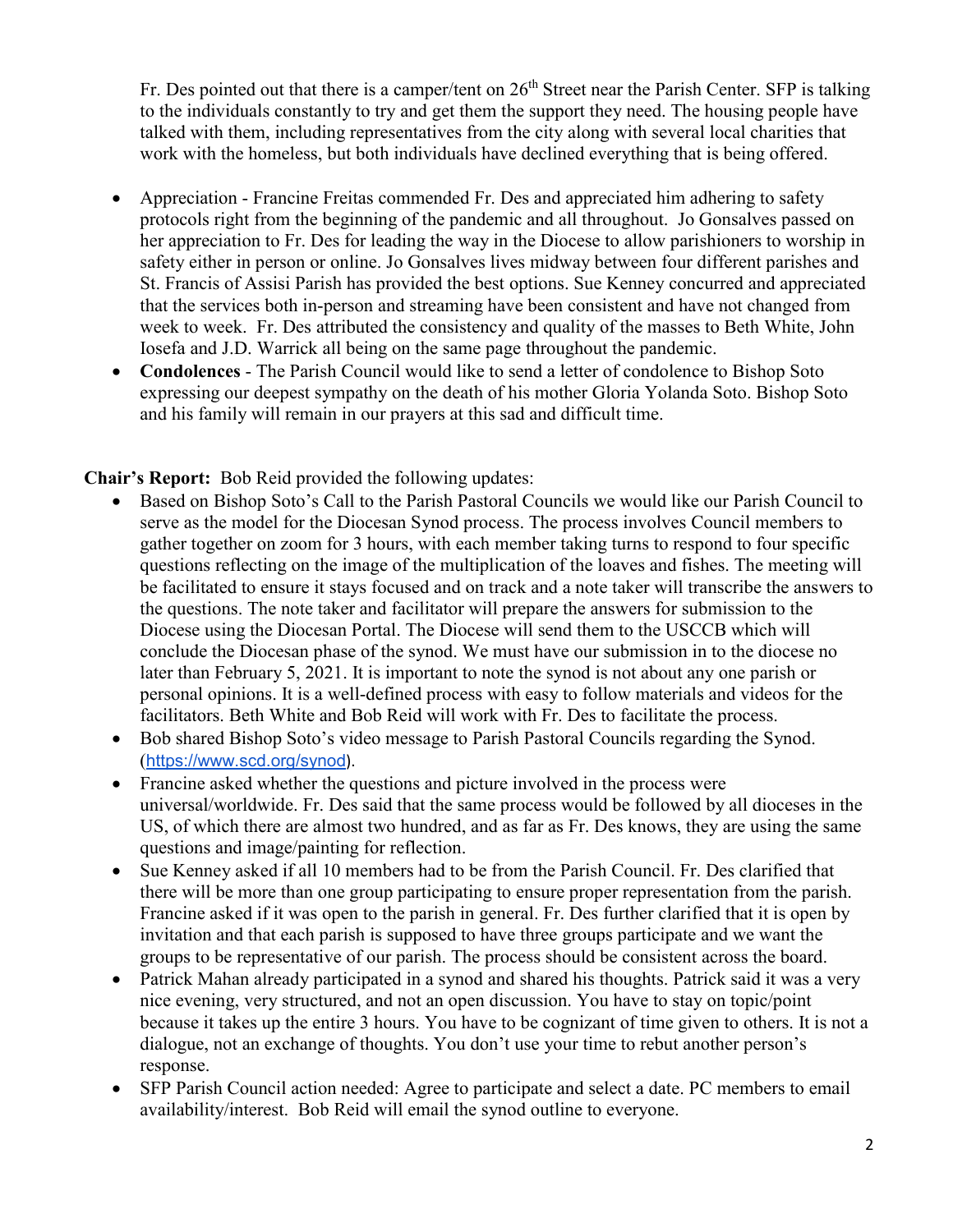Fr. Des pointed out that there is a camper/tent on 26<sup>th</sup> Street near the Parish Center. SFP is talking to the individuals constantly to try and get them the support they need. The housing people have talked with them, including representatives from the city along with several local charities that work with the homeless, but both individuals have declined everything that is being offered.

- Appreciation Francine Freitas commended Fr. Des and appreciated him adhering to safety protocols right from the beginning of the pandemic and all throughout. Jo Gonsalves passed on her appreciation to Fr. Des for leading the way in the Diocese to allow parishioners to worship in safety either in person or online. Jo Gonsalves lives midway between four different parishes and St. Francis of Assisi Parish has provided the best options. Sue Kenney concurred and appreciated that the services both in-person and streaming have been consistent and have not changed from week to week. Fr. Des attributed the consistency and quality of the masses to Beth White, John Iosefa and J.D. Warrick all being on the same page throughout the pandemic.
- **Condolences** The Parish Council would like to send a letter of condolence to Bishop Soto expressing our deepest sympathy on the death of his mother Gloria Yolanda Soto. Bishop Soto and his family will remain in our prayers at this sad and difficult time.

**Chair's Report:** Bob Reid provided the following updates:

- Based on Bishop Soto's Call to the Parish Pastoral Councils we would like our Parish Council to serve as the model for the Diocesan Synod process. The process involves Council members to gather together on zoom for 3 hours, with each member taking turns to respond to four specific questions reflecting on the image of the multiplication of the loaves and fishes. The meeting will be facilitated to ensure it stays focused and on track and a note taker will transcribe the answers to the questions. The note taker and facilitator will prepare the answers for submission to the Diocese using the Diocesan Portal. The Diocese will send them to the USCCB which will conclude the Diocesan phase of the synod. We must have our submission in to the diocese no later than February 5, 2021. It is important to note the synod is not about any one parish or personal opinions. It is a well-defined process with easy to follow materials and videos for the facilitators. Beth White and Bob Reid will work with Fr. Des to facilitate the process.
- Bob shared Bishop Soto's video message to Parish Pastoral Councils regarding the Synod. (<https://www.scd.org/synod>).
- Francine asked whether the questions and picture involved in the process were universal/worldwide. Fr. Des said that the same process would be followed by all dioceses in the US, of which there are almost two hundred, and as far as Fr. Des knows, they are using the same questions and image/painting for reflection.
- Sue Kenney asked if all 10 members had to be from the Parish Council. Fr. Des clarified that there will be more than one group participating to ensure proper representation from the parish. Francine asked if it was open to the parish in general. Fr. Des further clarified that it is open by invitation and that each parish is supposed to have three groups participate and we want the groups to be representative of our parish. The process should be consistent across the board.
- Patrick Mahan already participated in a synod and shared his thoughts. Patrick said it was a very nice evening, very structured, and not an open discussion. You have to stay on topic/point because it takes up the entire 3 hours. You have to be cognizant of time given to others. It is not a dialogue, not an exchange of thoughts. You don't use your time to rebut another person's response.
- SFP Parish Council action needed: Agree to participate and select a date. PC members to email availability/interest. Bob Reid will email the synod outline to everyone.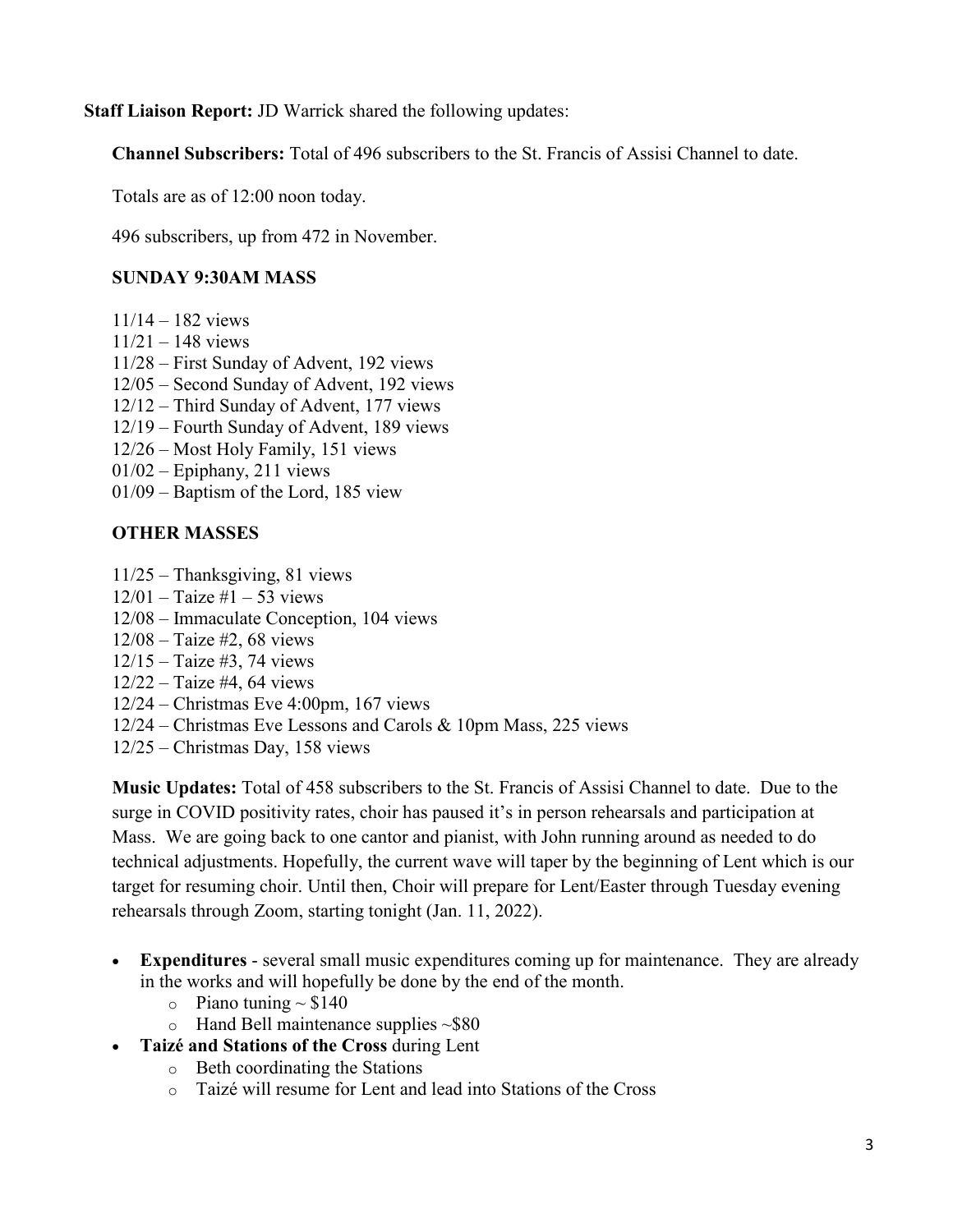**Staff Liaison Report:** JD Warrick shared the following updates:

**Channel Subscribers:** Total of 496 subscribers to the St. Francis of Assisi Channel to date.

Totals are as of 12:00 noon today.

496 subscribers, up from 472 in November.

## **SUNDAY 9:30AM MASS**

- 11/14 182 views
- $11/21 148$  views
- 11/28 First Sunday of Advent, 192 views
- 12/05 Second Sunday of Advent, 192 views
- 12/12 Third Sunday of Advent, 177 views
- 12/19 Fourth Sunday of Advent, 189 views
- 12/26 Most Holy Family, 151 views
- 01/02 Epiphany, 211 views
- 01/09 Baptism of the Lord, 185 view

## **OTHER MASSES**

- 11/25 Thanksgiving, 81 views
- $12/01 -$ Taize #1 53 views
- 12/08 Immaculate Conception, 104 views
- 12/08 Taize #2, 68 views
- 12/15 Taize #3, 74 views
- 12/22 Taize #4, 64 views
- 12/24 Christmas Eve 4:00pm, 167 views
- 12/24 Christmas Eve Lessons and Carols & 10pm Mass, 225 views
- 12/25 Christmas Day, 158 views

**Music Updates:** Total of 458 subscribers to the St. Francis of Assisi Channel to date. Due to the surge in COVID positivity rates, choir has paused it's in person rehearsals and participation at Mass. We are going back to one cantor and pianist, with John running around as needed to do technical adjustments. Hopefully, the current wave will taper by the beginning of Lent which is our target for resuming choir. Until then, Choir will prepare for Lent/Easter through Tuesday evening rehearsals through Zoom, starting tonight (Jan. 11, 2022).

- **Expenditures** several small music expenditures coming up for maintenance. They are already in the works and will hopefully be done by the end of the month.
	- $\circ$  Piano tuning  $\sim$  \$140
	- $\circ$  Hand Bell maintenance supplies  $\sim$ \$80
- **Taizé and Stations of the Cross** during Lent
	- o Beth coordinating the Stations
	- o Taizé will resume for Lent and lead into Stations of the Cross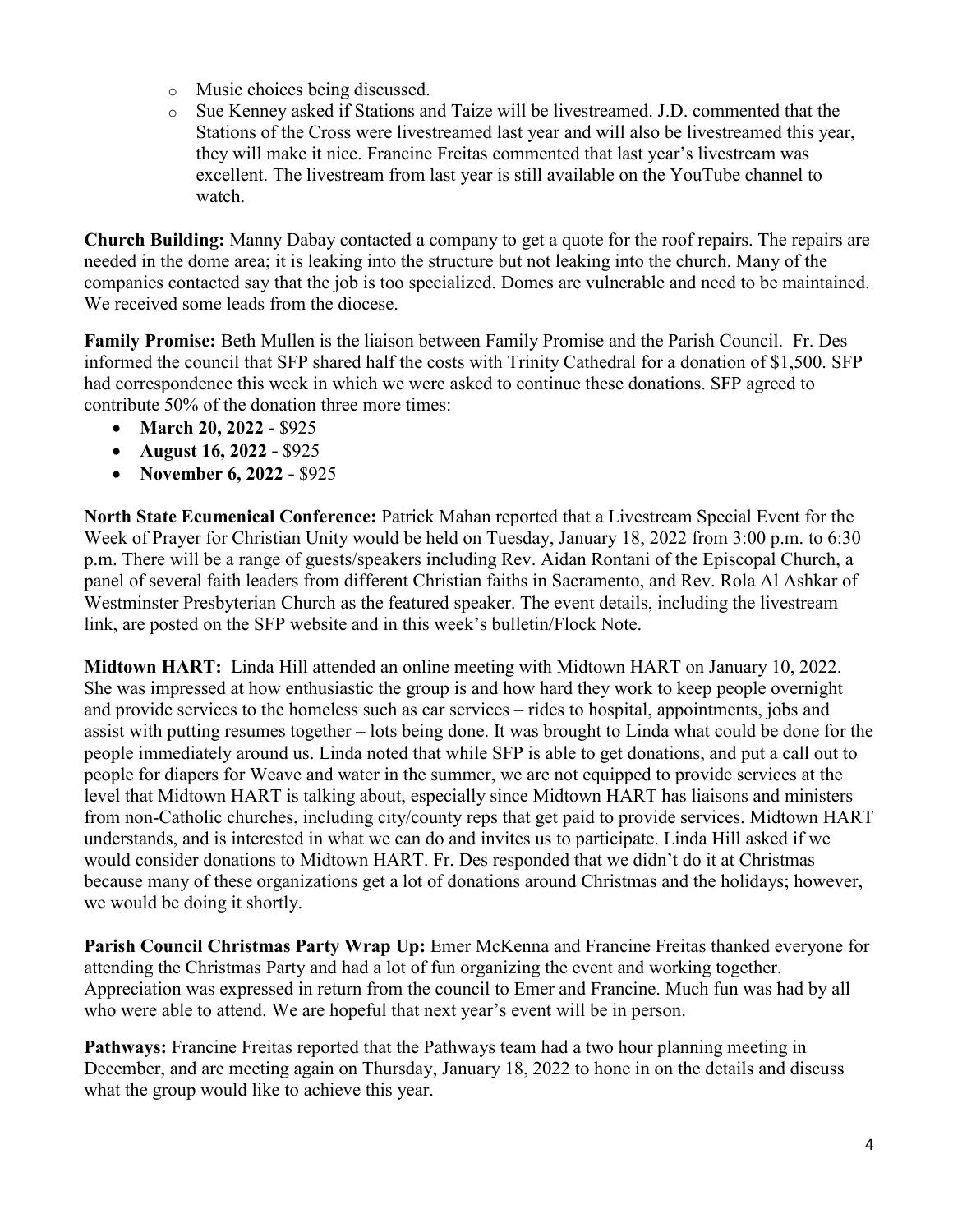- o Music choices being discussed.
- o Sue Kenney asked if Stations and Taize will be livestreamed. J.D. commented that the Stations of the Cross were livestreamed last year and will also be livestreamed this year, they will make it nice. Francine Freitas commented that last year's livestream was excellent. The livestream from last year is still available on the YouTube channel to watch.

**Church Building:** Manny Dabay contacted a company to get a quote for the roof repairs. The repairs are needed in the dome area; it is leaking into the structure but not leaking into the church. Many of the companies contacted say that the job is too specialized. Domes are vulnerable and need to be maintained. We received some leads from the diocese.

**Family Promise:** Beth Mullen is the liaison between Family Promise and the Parish Council. Fr. Des informed the council that SFP shared half the costs with Trinity Cathedral for a donation of \$1,500. SFP had correspondence this week in which we were asked to continue these donations. SFP agreed to contribute 50% of the donation three more times:

- **March 20, 2022 -** \$925
- **August 16, 2022 -** \$925
- **November 6, 2022 -** \$925

**North State Ecumenical Conference:** Patrick Mahan reported that a Livestream Special Event for the Week of Prayer for Christian Unity would be held on Tuesday, January 18, 2022 from 3:00 p.m. to 6:30 p.m. There will be a range of guests/speakers including Rev. Aidan Rontani of the Episcopal Church, a panel of several faith leaders from different Christian faiths in Sacramento, and Rev. Rola Al Ashkar of Westminster Presbyterian Church as the featured speaker. The event details, including the livestream link, are posted on the SFP website and in this week's bulletin/Flock Note.

**Midtown HART:** Linda Hill attended an online meeting with Midtown HART on January 10, 2022. She was impressed at how enthusiastic the group is and how hard they work to keep people overnight and provide services to the homeless such as car services – rides to hospital, appointments, jobs and assist with putting resumes together – lots being done. It was brought to Linda what could be done for the people immediately around us. Linda noted that while SFP is able to get donations, and put a call out to people for diapers for Weave and water in the summer, we are not equipped to provide services at the level that Midtown HART is talking about, especially since Midtown HART has liaisons and ministers from non-Catholic churches, including city/county reps that get paid to provide services. Midtown HART understands, and is interested in what we can do and invites us to participate. Linda Hill asked if we would consider donations to Midtown HART. Fr. Des responded that we didn't do it at Christmas because many of these organizations get a lot of donations around Christmas and the holidays; however, we would be doing it shortly.

**Parish Council Christmas Party Wrap Up:** Emer McKenna and Francine Freitas thanked everyone for attending the Christmas Party and had a lot of fun organizing the event and working together. Appreciation was expressed in return from the council to Emer and Francine. Much fun was had by all who were able to attend. We are hopeful that next year's event will be in person.

**Pathways:** Francine Freitas reported that the Pathways team had a two hour planning meeting in December, and are meeting again on Thursday, January 18, 2022 to hone in on the details and discuss what the group would like to achieve this year.